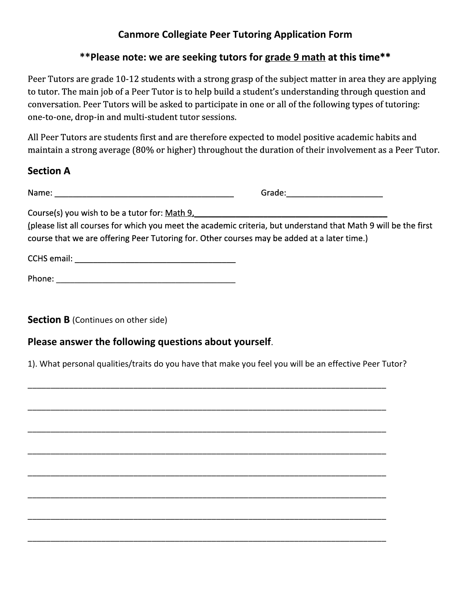# **Canmore Collegiate Peer Tutoring Application Form**

**\*\*Please note: we are seeking tutors for grade 9 mathat this time\*\***

Peer Tutors are grade 10-12 students with a strong grasp of the subject matter in area they are applying to tutor. The main job of a Peer Tutor is to help build a student's understanding through question and conversation. Peer Tutors will be asked to participate in one or all of the following types of tutoring: one-to-one, drop-in and multi-student tutor sessions.

All Peer Tutors are students first and are therefore expected to model positive academic habits and maintain a strong average (80% or higher) throughout the duration of their involvement as a Peer Tutor.

### **Section A**

Name: \_\_\_\_\_\_\_\_\_\_\_\_\_\_\_\_\_\_\_\_\_\_\_\_\_\_\_\_\_\_\_\_\_\_\_\_\_\_\_ Grade:\_\_\_\_\_\_\_\_\_\_\_\_\_\_\_\_\_\_\_\_\_

Course(s) you wish to be a tutor for: Math 9,

(please list all courses for which you meet the academic criteria, but understand that Math 9 will be the first course that we are offering Peer Tutoring for. Other courses may be added at a later time.)

CCHS email: <u>Discussion</u>

Phone: \_\_\_\_\_\_\_\_\_\_\_\_\_\_\_\_\_\_\_\_\_\_\_\_\_\_\_\_\_\_\_\_\_\_\_\_\_\_\_

**Section B** (Continues on other side)

### **Please answer the following questions about yourself**.

1). What personal qualities/traits do you have that make you feel you will be an effective Peer Tutor?

\_\_\_\_\_\_\_\_\_\_\_\_\_\_\_\_\_\_\_\_\_\_\_\_\_\_\_\_\_\_\_\_\_\_\_\_\_\_\_\_\_\_\_\_\_\_\_\_\_\_\_\_\_\_\_\_\_\_\_\_\_\_\_\_\_\_\_\_\_\_\_\_\_\_\_\_\_\_

\_\_\_\_\_\_\_\_\_\_\_\_\_\_\_\_\_\_\_\_\_\_\_\_\_\_\_\_\_\_\_\_\_\_\_\_\_\_\_\_\_\_\_\_\_\_\_\_\_\_\_\_\_\_\_\_\_\_\_\_\_\_\_\_\_\_\_\_\_\_\_\_\_\_\_\_\_\_

\_\_\_\_\_\_\_\_\_\_\_\_\_\_\_\_\_\_\_\_\_\_\_\_\_\_\_\_\_\_\_\_\_\_\_\_\_\_\_\_\_\_\_\_\_\_\_\_\_\_\_\_\_\_\_\_\_\_\_\_\_\_\_\_\_\_\_\_\_\_\_\_\_\_\_\_\_\_

\_\_\_\_\_\_\_\_\_\_\_\_\_\_\_\_\_\_\_\_\_\_\_\_\_\_\_\_\_\_\_\_\_\_\_\_\_\_\_\_\_\_\_\_\_\_\_\_\_\_\_\_\_\_\_\_\_\_\_\_\_\_\_\_\_\_\_\_\_\_\_\_\_\_\_\_\_\_

\_\_\_\_\_\_\_\_\_\_\_\_\_\_\_\_\_\_\_\_\_\_\_\_\_\_\_\_\_\_\_\_\_\_\_\_\_\_\_\_\_\_\_\_\_\_\_\_\_\_\_\_\_\_\_\_\_\_\_\_\_\_\_\_\_\_\_\_\_\_\_\_\_\_\_\_\_\_

\_\_\_\_\_\_\_\_\_\_\_\_\_\_\_\_\_\_\_\_\_\_\_\_\_\_\_\_\_\_\_\_\_\_\_\_\_\_\_\_\_\_\_\_\_\_\_\_\_\_\_\_\_\_\_\_\_\_\_\_\_\_\_\_\_\_\_\_\_\_\_\_\_\_\_\_\_\_

\_\_\_\_\_\_\_\_\_\_\_\_\_\_\_\_\_\_\_\_\_\_\_\_\_\_\_\_\_\_\_\_\_\_\_\_\_\_\_\_\_\_\_\_\_\_\_\_\_\_\_\_\_\_\_\_\_\_\_\_\_\_\_\_\_\_\_\_\_\_\_\_\_\_\_\_\_\_

\_\_\_\_\_\_\_\_\_\_\_\_\_\_\_\_\_\_\_\_\_\_\_\_\_\_\_\_\_\_\_\_\_\_\_\_\_\_\_\_\_\_\_\_\_\_\_\_\_\_\_\_\_\_\_\_\_\_\_\_\_\_\_\_\_\_\_\_\_\_\_\_\_\_\_\_\_\_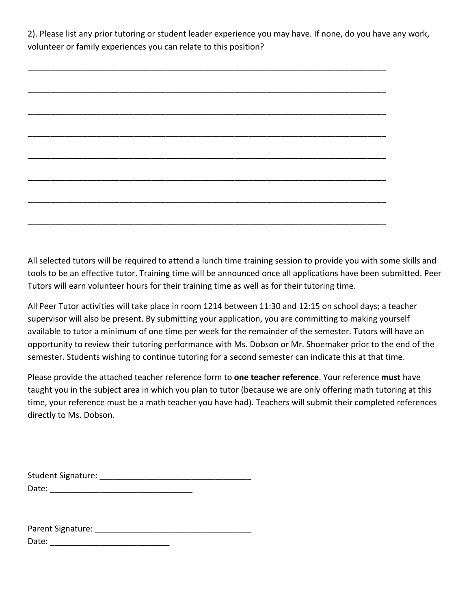2). Please list any prior tutoring or student leader experience you may have. If none, do you have any work, volunteer or family experiences you can relate to this position?

All selected tutors will be required to attend a lunch time training session to provide you with some skills and tools to be an effective tutor. Training time will be announced once all applications have been submitted. Peer Tutors will earn volunteer hours for their training time as well as for their tutoring time.

All Peer Tutor activities will take place in room 1214 between 11:30 and 12:15 on school days; a teacher supervisor will also be present. By submitting your application, you are committing to making yourself available to tutor a minimum of one time per week for the remainder of the semester. Tutors will have an opportunity to review their tutoring performance with Ms. Dobson or Mr. Shoemaker prior to the end of the semester. Students wishing to continue tutoring for a second semester can indicate this at that time.

Please provide the attached teacher reference form to **one teacher reference**. Your reference **must**have taught you in the subject area in which you plan to tutor (because we are only offering math tutoring at this time, your reference must be a math teacher you have had). Teachers will submit their completed references directly to Ms. Dobson.

| <b>Student Signature:</b> |  |
|---------------------------|--|
| Date:                     |  |

Parent Signature: **Example 2018** Date: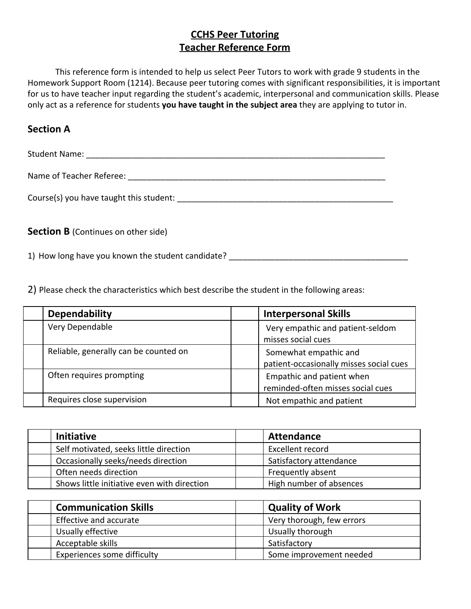# **CCHS Peer Tutoring Teacher Reference Form**

This reference form is intended to help us select Peer Tutors to work with grade 9 students in the Homework Support Room (1214). Because peer tutoring comes with significant responsibilities, it is important for us to have teacher input regarding the student's academic, interpersonal and communication skills. Please only act as a reference for students **you have taught in the subject area**they are applying to tutor in.

#### **Section A**

Student Name: \_\_\_\_\_\_\_\_\_\_\_\_\_\_\_\_\_\_\_\_\_\_\_\_\_\_\_\_\_\_\_\_\_\_\_\_\_\_\_\_\_\_\_\_\_\_\_\_\_\_\_\_\_\_\_\_\_\_\_\_\_\_\_\_\_ Name of Teacher Referee: \_\_\_\_\_\_\_\_\_\_\_\_\_\_\_\_\_\_\_\_\_\_\_\_\_\_\_\_\_\_\_\_\_\_\_\_\_\_\_\_\_\_\_\_\_\_\_\_\_\_\_\_\_\_\_\_ Course(s) you have taught this student:  $\blacksquare$ **Section B** (Continues on other side)

1) How long have you known the student candidate?

2) Please check the characteristics which best describe the student in the following areas:

| <b>Dependability</b>                  | <b>Interpersonal Skills</b>                                      |
|---------------------------------------|------------------------------------------------------------------|
| Very Dependable                       | Very empathic and patient-seldom<br>misses social cues           |
| Reliable, generally can be counted on | Somewhat empathic and<br>patient-occasionally misses social cues |
| Often requires prompting              | Empathic and patient when<br>reminded-often misses social cues   |
| Requires close supervision            | Not empathic and patient                                         |

| <b>Initiative</b> |                                             | Attendance              |
|-------------------|---------------------------------------------|-------------------------|
|                   | Self motivated, seeks little direction      | Excellent record        |
|                   | Occasionally seeks/needs direction          | Satisfactory attendance |
|                   | Often needs direction                       | Frequently absent       |
|                   | Shows little initiative even with direction | High number of absences |

| <b>Communication Skills</b> | <b>Quality of Work</b>    |
|-----------------------------|---------------------------|
| Effective and accurate      | Very thorough, few errors |
| Usually effective           | Usually thorough          |
| Acceptable skills           | Satisfactory              |
| Experiences some difficulty | Some improvement needed   |